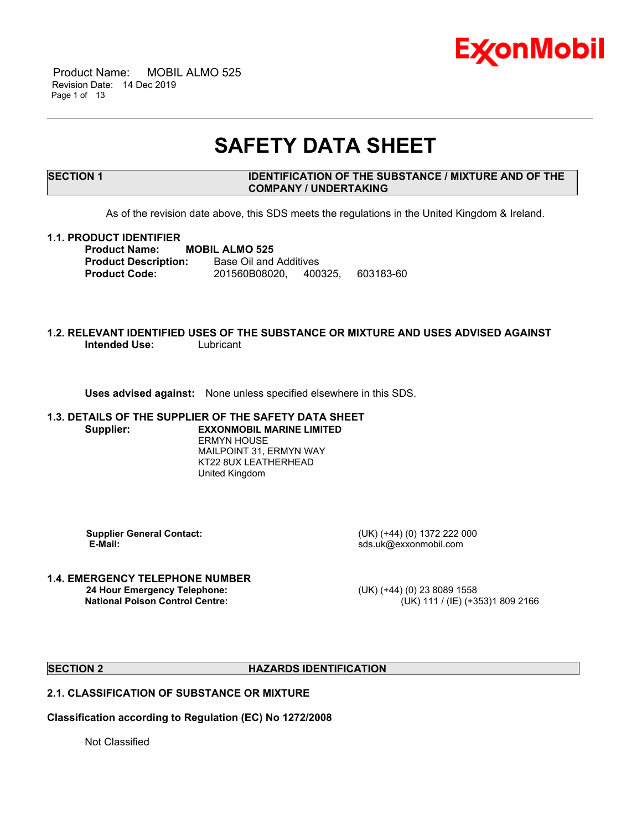

 Product Name: MOBIL ALMO 525 Revision Date: 14 Dec 2019 Page 1 of 13

# **SAFETY DATA SHEET**

\_\_\_\_\_\_\_\_\_\_\_\_\_\_\_\_\_\_\_\_\_\_\_\_\_\_\_\_\_\_\_\_\_\_\_\_\_\_\_\_\_\_\_\_\_\_\_\_\_\_\_\_\_\_\_\_\_\_\_\_\_\_\_\_\_\_\_\_\_\_\_\_\_\_\_\_\_\_\_\_\_\_\_\_\_\_\_\_\_\_\_\_\_\_\_\_\_\_\_\_\_\_\_\_\_\_\_\_\_\_\_\_\_\_\_\_\_

#### **SECTION 1 IDENTIFICATION OF THE SUBSTANCE / MIXTURE AND OF THE COMPANY / UNDERTAKING**

As of the revision date above, this SDS meets the regulations in the United Kingdom & Ireland.

#### **1.1. PRODUCT IDENTIFIER**

**Product Name: MOBIL ALMO 525 Product Description:** Base Oil and Additives **Product Code:** 201560B08020, 400325, 603183-60

#### **1.2. RELEVANT IDENTIFIED USES OF THE SUBSTANCE OR MIXTURE AND USES ADVISED AGAINST Intended Use:** Lubricant

**Uses advised against:** None unless specified elsewhere in this SDS.

### **1.3. DETAILS OF THE SUPPLIER OF THE SAFETY DATA SHEET**

**Supplier: EXXONMOBIL MARINE LIMITED** ERMYN HOUSE MAILPOINT 31, ERMYN WAY KT22 8UX LEATHERHEAD United Kingdom

 **E-Mail:** sds.uk@exxonmobil.com

 **Supplier General Contact:** (UK) (+44) (0) 1372 222 000

## **1.4. EMERGENCY TELEPHONE NUMBER**

 **24 Hour Emergency Telephone:** (UK) (+44) (0) 23 8089 1558 **National Poison Control Centre:** (UK) 111 / (IE) (+353)1 809 2166

#### **SECTION 2 HAZARDS IDENTIFICATION**

### **2.1. CLASSIFICATION OF SUBSTANCE OR MIXTURE**

**Classification according to Regulation (EC) No 1272/2008**

Not Classified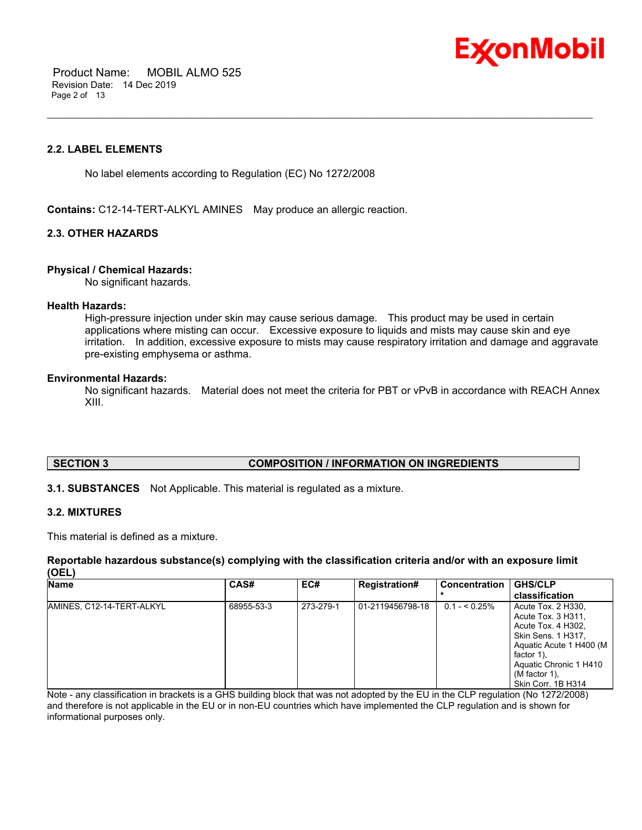

 Product Name: MOBIL ALMO 525 Revision Date: 14 Dec 2019 Page 2 of 13

#### **2.2. LABEL ELEMENTS**

No label elements according to Regulation (EC) No 1272/2008

**Contains:** C12-14-TERT-ALKYL AMINES May produce an allergic reaction.

#### **2.3. OTHER HAZARDS**

#### **Physical / Chemical Hazards:**

No significant hazards.

#### **Health Hazards:**

High-pressure injection under skin may cause serious damage. This product may be used in certain applications where misting can occur. Excessive exposure to liquids and mists may cause skin and eye irritation. In addition, excessive exposure to mists may cause respiratory irritation and damage and aggravate pre-existing emphysema or asthma.

\_\_\_\_\_\_\_\_\_\_\_\_\_\_\_\_\_\_\_\_\_\_\_\_\_\_\_\_\_\_\_\_\_\_\_\_\_\_\_\_\_\_\_\_\_\_\_\_\_\_\_\_\_\_\_\_\_\_\_\_\_\_\_\_\_\_\_\_\_\_\_\_\_\_\_\_\_\_\_\_\_\_\_\_\_\_\_\_\_\_\_\_\_\_\_\_\_\_\_\_\_\_\_\_\_\_\_\_\_\_\_\_\_\_\_\_\_

#### **Environmental Hazards:**

No significant hazards. Material does not meet the criteria for PBT or vPvB in accordance with REACH Annex XIII.

#### **SECTION 3 COMPOSITION / INFORMATION ON INGREDIENTS**

**3.1. SUBSTANCES** Not Applicable. This material is regulated as a mixture.

#### **3.2. MIXTURES**

This material is defined as a mixture.

**Reportable hazardous substance(s) complying with the classification criteria and/or with an exposure limit (OEL)**

| <b>Name</b>               | CAS#       | EC#       | <b>Registration#</b> | Concentration  | <b>GHS/CLP</b><br>classification                                                                                                                                                               |
|---------------------------|------------|-----------|----------------------|----------------|------------------------------------------------------------------------------------------------------------------------------------------------------------------------------------------------|
| AMINES, C12-14-TERT-ALKYL | 68955-53-3 | 273-279-1 | 01-2119456798-18     | $0.1 - 5.25\%$ | Acute Tox. 2 H330,<br>Acute Tox. 3 H311.<br>Acute Tox. 4 H302,<br>Skin Sens. 1 H317,<br>Aquatic Acute 1 H400 (M<br>factor 1).<br>Aquatic Chronic 1 H410<br>(M factor 1).<br>Skin Corr. 1B H314 |

Note - any classification in brackets is a GHS building block that was not adopted by the EU in the CLP regulation (No 1272/2008) and therefore is not applicable in the EU or in non-EU countries which have implemented the CLP regulation and is shown for informational purposes only.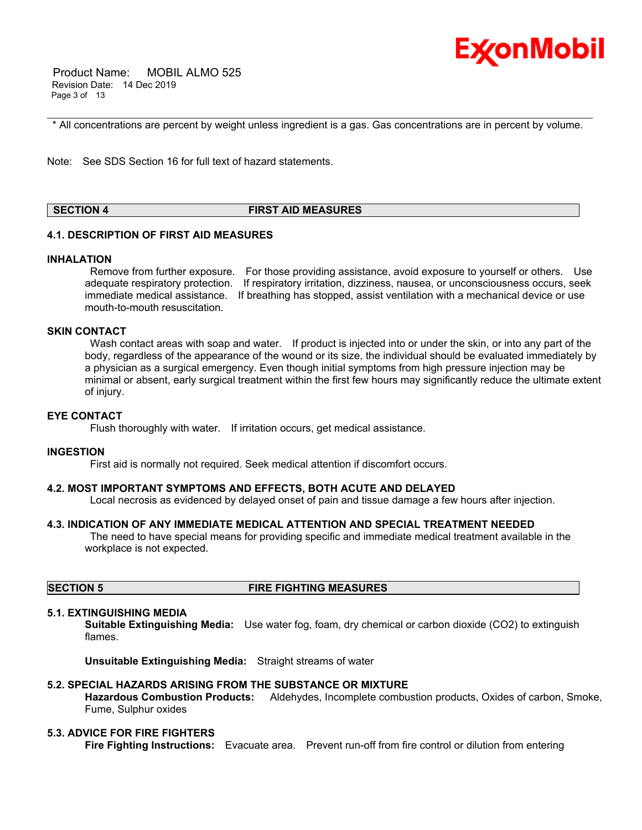

 Product Name: MOBIL ALMO 525 Revision Date: 14 Dec 2019 Page 3 of 13

\_\_\_\_\_\_\_\_\_\_\_\_\_\_\_\_\_\_\_\_\_\_\_\_\_\_\_\_\_\_\_\_\_\_\_\_\_\_\_\_\_\_\_\_\_\_\_\_\_\_\_\_\_\_\_\_\_\_\_\_\_\_\_\_\_\_\_\_\_\_\_\_\_\_\_\_\_\_\_\_\_\_\_\_\_\_\_\_\_\_\_\_\_\_\_\_\_\_\_\_\_\_\_\_\_\_\_\_\_\_\_\_\_\_\_\_\_ \* All concentrations are percent by weight unless ingredient is a gas. Gas concentrations are in percent by volume.

Note: See SDS Section 16 for full text of hazard statements.

### **SECTION 4 FIRST AID MEASURES**

#### **4.1. DESCRIPTION OF FIRST AID MEASURES**

#### **INHALATION**

 Remove from further exposure. For those providing assistance, avoid exposure to yourself or others. Use adequate respiratory protection. If respiratory irritation, dizziness, nausea, or unconsciousness occurs, seek immediate medical assistance. If breathing has stopped, assist ventilation with a mechanical device or use mouth-to-mouth resuscitation.

#### **SKIN CONTACT**

Wash contact areas with soap and water. If product is injected into or under the skin, or into any part of the body, regardless of the appearance of the wound or its size, the individual should be evaluated immediately by a physician as a surgical emergency. Even though initial symptoms from high pressure injection may be minimal or absent, early surgical treatment within the first few hours may significantly reduce the ultimate extent of injury.

#### **EYE CONTACT**

Flush thoroughly with water. If irritation occurs, get medical assistance.

#### **INGESTION**

First aid is normally not required. Seek medical attention if discomfort occurs.

#### **4.2. MOST IMPORTANT SYMPTOMS AND EFFECTS, BOTH ACUTE AND DELAYED**

Local necrosis as evidenced by delayed onset of pain and tissue damage a few hours after injection.

#### **4.3. INDICATION OF ANY IMMEDIATE MEDICAL ATTENTION AND SPECIAL TREATMENT NEEDED**

 The need to have special means for providing specific and immediate medical treatment available in the workplace is not expected.

#### **SECTION 5 FIRE FIGHTING MEASURES**

#### **5.1. EXTINGUISHING MEDIA**

**Suitable Extinguishing Media:** Use water fog, foam, dry chemical or carbon dioxide (CO2) to extinguish flames.

**Unsuitable Extinguishing Media:** Straight streams of water

#### **5.2. SPECIAL HAZARDS ARISING FROM THE SUBSTANCE OR MIXTURE**

**Hazardous Combustion Products:** Aldehydes, Incomplete combustion products, Oxides of carbon, Smoke, Fume, Sulphur oxides

#### **5.3. ADVICE FOR FIRE FIGHTERS**

**Fire Fighting Instructions:** Evacuate area. Prevent run-off from fire control or dilution from entering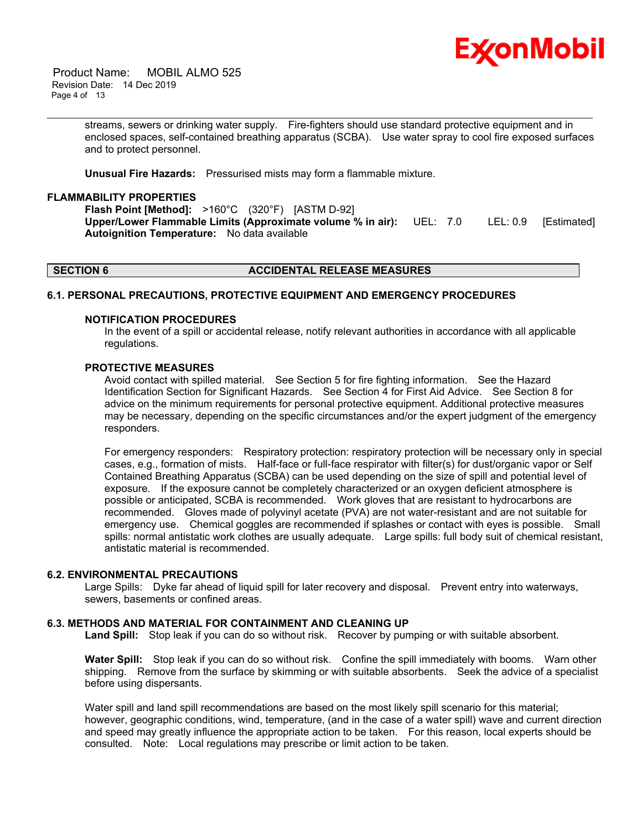

 Product Name: MOBIL ALMO 525 Revision Date: 14 Dec 2019 Page 4 of 13

> streams, sewers or drinking water supply. Fire-fighters should use standard protective equipment and in enclosed spaces, self-contained breathing apparatus (SCBA). Use water spray to cool fire exposed surfaces and to protect personnel.

\_\_\_\_\_\_\_\_\_\_\_\_\_\_\_\_\_\_\_\_\_\_\_\_\_\_\_\_\_\_\_\_\_\_\_\_\_\_\_\_\_\_\_\_\_\_\_\_\_\_\_\_\_\_\_\_\_\_\_\_\_\_\_\_\_\_\_\_\_\_\_\_\_\_\_\_\_\_\_\_\_\_\_\_\_\_\_\_\_\_\_\_\_\_\_\_\_\_\_\_\_\_\_\_\_\_\_\_\_\_\_\_\_\_\_\_\_

**Unusual Fire Hazards:** Pressurised mists may form a flammable mixture.

#### **FLAMMABILITY PROPERTIES**

**Flash Point [Method]:** >160°C (320°F) [ASTM D-92] **Upper/Lower Flammable Limits (Approximate volume % in air):** UEL: 7.0 LEL: 0.9 [Estimated] **Autoignition Temperature:** No data available

#### **SECTION 6 ACCIDENTAL RELEASE MEASURES**

#### **6.1. PERSONAL PRECAUTIONS, PROTECTIVE EQUIPMENT AND EMERGENCY PROCEDURES**

#### **NOTIFICATION PROCEDURES**

In the event of a spill or accidental release, notify relevant authorities in accordance with all applicable regulations.

#### **PROTECTIVE MEASURES**

Avoid contact with spilled material. See Section 5 for fire fighting information. See the Hazard Identification Section for Significant Hazards. See Section 4 for First Aid Advice. See Section 8 for advice on the minimum requirements for personal protective equipment. Additional protective measures may be necessary, depending on the specific circumstances and/or the expert judgment of the emergency responders.

For emergency responders: Respiratory protection: respiratory protection will be necessary only in special cases, e.g., formation of mists. Half-face or full-face respirator with filter(s) for dust/organic vapor or Self Contained Breathing Apparatus (SCBA) can be used depending on the size of spill and potential level of exposure. If the exposure cannot be completely characterized or an oxygen deficient atmosphere is possible or anticipated, SCBA is recommended. Work gloves that are resistant to hydrocarbons are recommended. Gloves made of polyvinyl acetate (PVA) are not water-resistant and are not suitable for emergency use. Chemical goggles are recommended if splashes or contact with eyes is possible. Small spills: normal antistatic work clothes are usually adequate. Large spills: full body suit of chemical resistant, antistatic material is recommended.

#### **6.2. ENVIRONMENTAL PRECAUTIONS**

Large Spills: Dyke far ahead of liquid spill for later recovery and disposal. Prevent entry into waterways, sewers, basements or confined areas.

#### **6.3. METHODS AND MATERIAL FOR CONTAINMENT AND CLEANING UP**

**Land Spill:** Stop leak if you can do so without risk. Recover by pumping or with suitable absorbent.

**Water Spill:** Stop leak if you can do so without risk. Confine the spill immediately with booms. Warn other shipping. Remove from the surface by skimming or with suitable absorbents. Seek the advice of a specialist before using dispersants.

Water spill and land spill recommendations are based on the most likely spill scenario for this material; however, geographic conditions, wind, temperature, (and in the case of a water spill) wave and current direction and speed may greatly influence the appropriate action to be taken. For this reason, local experts should be consulted. Note: Local regulations may prescribe or limit action to be taken.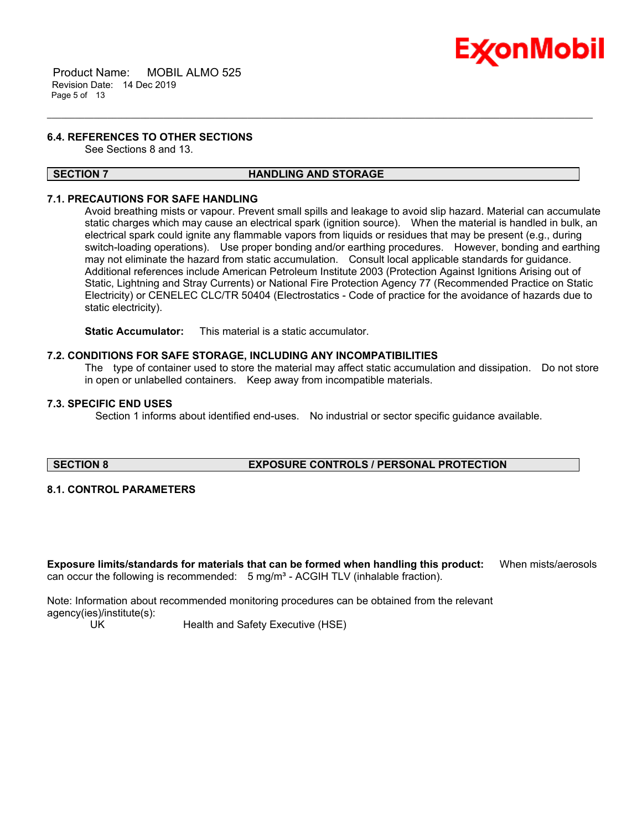

 Product Name: MOBIL ALMO 525 Revision Date: 14 Dec 2019 Page 5 of 13

#### **6.4. REFERENCES TO OTHER SECTIONS**

See Sections 8 and 13.

#### **SECTION 7 HANDLING AND STORAGE**

\_\_\_\_\_\_\_\_\_\_\_\_\_\_\_\_\_\_\_\_\_\_\_\_\_\_\_\_\_\_\_\_\_\_\_\_\_\_\_\_\_\_\_\_\_\_\_\_\_\_\_\_\_\_\_\_\_\_\_\_\_\_\_\_\_\_\_\_\_\_\_\_\_\_\_\_\_\_\_\_\_\_\_\_\_\_\_\_\_\_\_\_\_\_\_\_\_\_\_\_\_\_\_\_\_\_\_\_\_\_\_\_\_\_\_\_\_

#### **7.1. PRECAUTIONS FOR SAFE HANDLING**

Avoid breathing mists or vapour. Prevent small spills and leakage to avoid slip hazard. Material can accumulate static charges which may cause an electrical spark (ignition source). When the material is handled in bulk, an electrical spark could ignite any flammable vapors from liquids or residues that may be present (e.g., during switch-loading operations). Use proper bonding and/or earthing procedures. However, bonding and earthing may not eliminate the hazard from static accumulation. Consult local applicable standards for guidance. Additional references include American Petroleum Institute 2003 (Protection Against Ignitions Arising out of Static, Lightning and Stray Currents) or National Fire Protection Agency 77 (Recommended Practice on Static Electricity) or CENELEC CLC/TR 50404 (Electrostatics - Code of practice for the avoidance of hazards due to static electricity).

**Static Accumulator:** This material is a static accumulator.

#### **7.2. CONDITIONS FOR SAFE STORAGE, INCLUDING ANY INCOMPATIBILITIES**

The type of container used to store the material may affect static accumulation and dissipation. Do not store in open or unlabelled containers. Keep away from incompatible materials.

#### **7.3. SPECIFIC END USES**

Section 1 informs about identified end-uses. No industrial or sector specific guidance available.

#### **SECTION 8 EXPOSURE CONTROLS / PERSONAL PROTECTION**

#### **8.1. CONTROL PARAMETERS**

**Exposure limits/standards for materials that can be formed when handling this product:** When mists/aerosols can occur the following is recommended:  $5$  mg/m<sup>3</sup> - ACGIH TLV (inhalable fraction).

Note: Information about recommended monitoring procedures can be obtained from the relevant agency(ies)/institute(s):

UK Health and Safety Executive (HSE)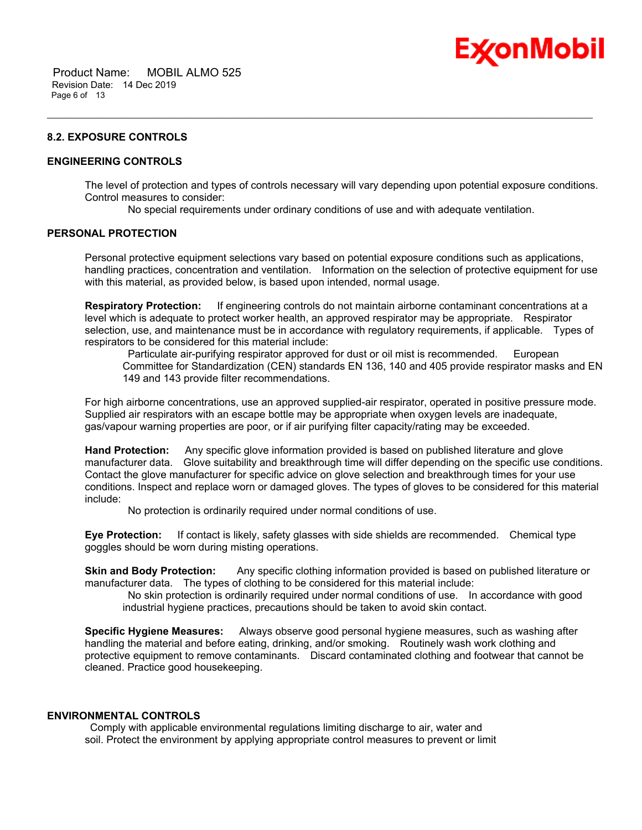

# Ex⁄onMobil

#### **8.2. EXPOSURE CONTROLS**

#### **ENGINEERING CONTROLS**

The level of protection and types of controls necessary will vary depending upon potential exposure conditions. Control measures to consider:

No special requirements under ordinary conditions of use and with adequate ventilation.

\_\_\_\_\_\_\_\_\_\_\_\_\_\_\_\_\_\_\_\_\_\_\_\_\_\_\_\_\_\_\_\_\_\_\_\_\_\_\_\_\_\_\_\_\_\_\_\_\_\_\_\_\_\_\_\_\_\_\_\_\_\_\_\_\_\_\_\_\_\_\_\_\_\_\_\_\_\_\_\_\_\_\_\_\_\_\_\_\_\_\_\_\_\_\_\_\_\_\_\_\_\_\_\_\_\_\_\_\_\_\_\_\_\_\_\_\_

#### **PERSONAL PROTECTION**

Personal protective equipment selections vary based on potential exposure conditions such as applications, handling practices, concentration and ventilation. Information on the selection of protective equipment for use with this material, as provided below, is based upon intended, normal usage.

**Respiratory Protection:** If engineering controls do not maintain airborne contaminant concentrations at a level which is adequate to protect worker health, an approved respirator may be appropriate. Respirator selection, use, and maintenance must be in accordance with regulatory requirements, if applicable. Types of respirators to be considered for this material include:

Particulate air-purifying respirator approved for dust or oil mist is recommended. European Committee for Standardization (CEN) standards EN 136, 140 and 405 provide respirator masks and EN 149 and 143 provide filter recommendations.

For high airborne concentrations, use an approved supplied-air respirator, operated in positive pressure mode. Supplied air respirators with an escape bottle may be appropriate when oxygen levels are inadequate, gas/vapour warning properties are poor, or if air purifying filter capacity/rating may be exceeded.

**Hand Protection:** Any specific glove information provided is based on published literature and glove manufacturer data. Glove suitability and breakthrough time will differ depending on the specific use conditions. Contact the glove manufacturer for specific advice on glove selection and breakthrough times for your use conditions. Inspect and replace worn or damaged gloves. The types of gloves to be considered for this material include:

No protection is ordinarily required under normal conditions of use.

**Eye Protection:** If contact is likely, safety glasses with side shields are recommended. Chemical type goggles should be worn during misting operations.

**Skin and Body Protection:** Any specific clothing information provided is based on published literature or manufacturer data. The types of clothing to be considered for this material include:

 No skin protection is ordinarily required under normal conditions of use. In accordance with good industrial hygiene practices, precautions should be taken to avoid skin contact.

**Specific Hygiene Measures:** Always observe good personal hygiene measures, such as washing after handling the material and before eating, drinking, and/or smoking. Routinely wash work clothing and protective equipment to remove contaminants. Discard contaminated clothing and footwear that cannot be cleaned. Practice good housekeeping.

#### **ENVIRONMENTAL CONTROLS**

 Comply with applicable environmental regulations limiting discharge to air, water and soil. Protect the environment by applying appropriate control measures to prevent or limit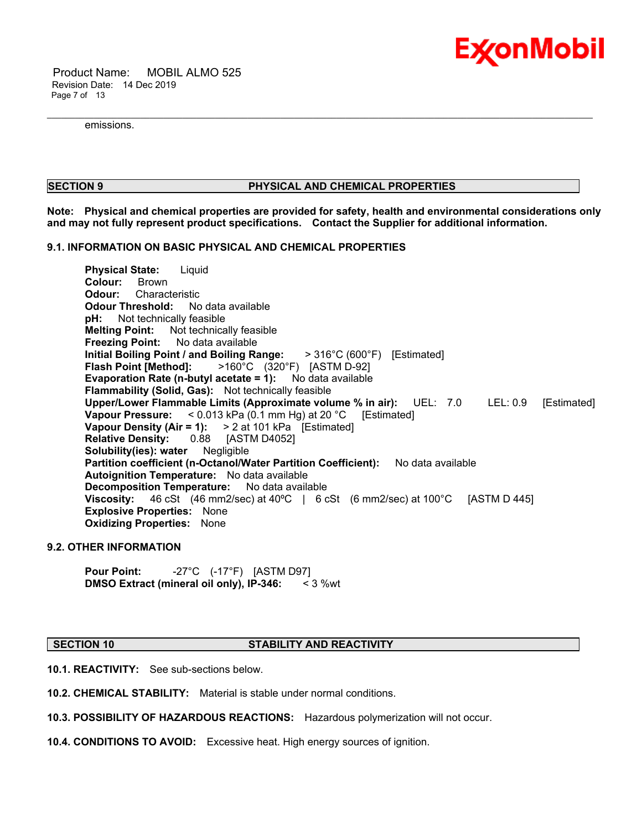

 Product Name: MOBIL ALMO 525 Revision Date: 14 Dec 2019 Page 7 of 13

emissions.

#### **SECTION 9 PHYSICAL AND CHEMICAL PROPERTIES**

**Note: Physical and chemical properties are provided for safety, health and environmental considerations only and may not fully represent product specifications. Contact the Supplier for additional information.**

\_\_\_\_\_\_\_\_\_\_\_\_\_\_\_\_\_\_\_\_\_\_\_\_\_\_\_\_\_\_\_\_\_\_\_\_\_\_\_\_\_\_\_\_\_\_\_\_\_\_\_\_\_\_\_\_\_\_\_\_\_\_\_\_\_\_\_\_\_\_\_\_\_\_\_\_\_\_\_\_\_\_\_\_\_\_\_\_\_\_\_\_\_\_\_\_\_\_\_\_\_\_\_\_\_\_\_\_\_\_\_\_\_\_\_\_\_

#### **9.1. INFORMATION ON BASIC PHYSICAL AND CHEMICAL PROPERTIES**

**Physical State:** Liquid **Colour:** Brown **Odour:** Characteristic **Odour Threshold:** No data available **pH:** Not technically feasible **Melting Point:** Not technically feasible **Freezing Point:** No data available **Initial Boiling Point / and Boiling Range:** > 316°C (600°F) [Estimated] **Flash Point [Method]:** >160°C (320°F) [ASTM D-92] **Evaporation Rate (n-butyl acetate = 1):** No data available **Flammability (Solid, Gas):** Not technically feasible **Upper/Lower Flammable Limits (Approximate volume % in air):** UEL: 7.0 LEL: 0.9 [Estimated] **Vapour Pressure:** < 0.013 kPa (0.1 mm Hg) at 20 °C [Estimated] **Vapour Density (Air = 1):** > 2 at 101 kPa [Estimated]<br>**Relative Density:** 0.88 [ASTM D4052] **Relative Density: 0.88 Solubility(ies): water** Negligible **Partition coefficient (n-Octanol/Water Partition Coefficient):** No data available **Autoignition Temperature:** No data available **Decomposition Temperature:** No data available **Viscosity:** 46 cSt (46 mm2/sec) at 40°C | 6 cSt (6 mm2/sec) at 100°C [ASTM D 445] **Explosive Properties:** None **Oxidizing Properties:** None

#### **9.2. OTHER INFORMATION**

**Pour Point:** -27°C (-17°F) [ASTM D97]<br>**DMSO Extract (mineral oil only), IP-346:** < 3 %wt **DMSO Extract (mineral oil only), IP-346:** 

#### **SECTION 10 STABILITY AND REACTIVITY**

**10.1. REACTIVITY:** See sub-sections below.

**10.2. CHEMICAL STABILITY:** Material is stable under normal conditions.

**10.3. POSSIBILITY OF HAZARDOUS REACTIONS:** Hazardous polymerization will not occur.

**10.4. CONDITIONS TO AVOID:** Excessive heat. High energy sources of ignition.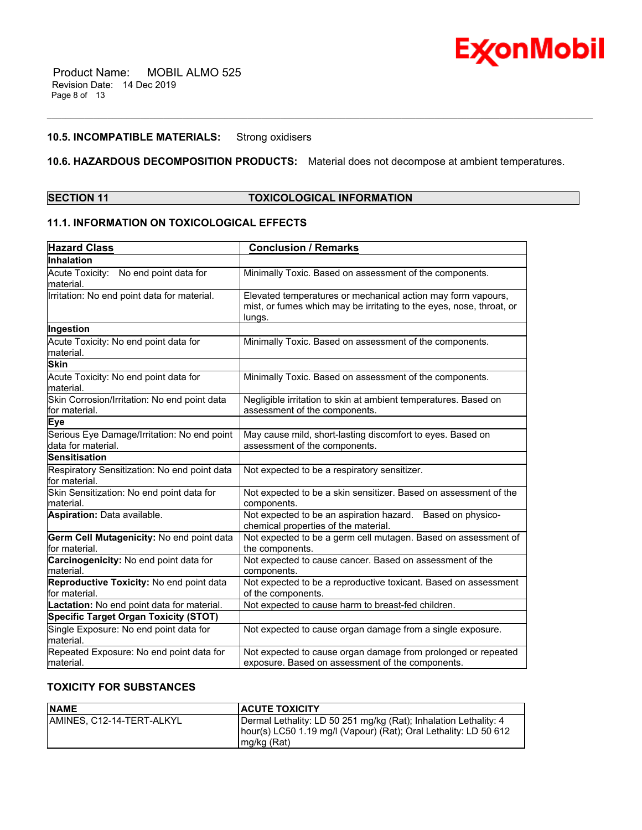

### **10.5. INCOMPATIBLE MATERIALS:** Strong oxidisers

### **10.6. HAZARDOUS DECOMPOSITION PRODUCTS:** Material does not decompose at ambient temperatures.

\_\_\_\_\_\_\_\_\_\_\_\_\_\_\_\_\_\_\_\_\_\_\_\_\_\_\_\_\_\_\_\_\_\_\_\_\_\_\_\_\_\_\_\_\_\_\_\_\_\_\_\_\_\_\_\_\_\_\_\_\_\_\_\_\_\_\_\_\_\_\_\_\_\_\_\_\_\_\_\_\_\_\_\_\_\_\_\_\_\_\_\_\_\_\_\_\_\_\_\_\_\_\_\_\_\_\_\_\_\_\_\_\_\_\_\_\_

### **SECTION 11 TOXICOLOGICAL INFORMATION**

### **11.1. INFORMATION ON TOXICOLOGICAL EFFECTS**

| <b>Hazard Class</b>                                               | <b>Conclusion / Remarks</b>                                                                                                                    |
|-------------------------------------------------------------------|------------------------------------------------------------------------------------------------------------------------------------------------|
| Inhalation                                                        |                                                                                                                                                |
| Acute Toxicity: No end point data for<br>lmaterial.               | Minimally Toxic. Based on assessment of the components.                                                                                        |
| Irritation: No end point data for material.                       | Elevated temperatures or mechanical action may form vapours,<br>mist, or fumes which may be irritating to the eyes, nose, throat, or<br>lungs. |
| Ingestion                                                         |                                                                                                                                                |
| Acute Toxicity: No end point data for<br>material.                | Minimally Toxic. Based on assessment of the components.                                                                                        |
| <b>Skin</b>                                                       |                                                                                                                                                |
| Acute Toxicity: No end point data for<br>material.                | Minimally Toxic. Based on assessment of the components.                                                                                        |
| Skin Corrosion/Irritation: No end point data<br>for material.     | Negligible irritation to skin at ambient temperatures. Based on<br>assessment of the components.                                               |
| <b>Eye</b>                                                        |                                                                                                                                                |
| Serious Eye Damage/Irritation: No end point<br>data for material. | May cause mild, short-lasting discomfort to eyes. Based on<br>assessment of the components.                                                    |
| <b>Sensitisation</b>                                              |                                                                                                                                                |
| Respiratory Sensitization: No end point data<br>for material.     | Not expected to be a respiratory sensitizer.                                                                                                   |
| Skin Sensitization: No end point data for<br>material.            | Not expected to be a skin sensitizer. Based on assessment of the<br>components.                                                                |
| Aspiration: Data available.                                       | Not expected to be an aspiration hazard. Based on physico-<br>chemical properties of the material.                                             |
| Germ Cell Mutagenicity: No end point data<br>lfor material.       | Not expected to be a germ cell mutagen. Based on assessment of<br>the components.                                                              |
| Carcinogenicity: No end point data for<br>material.               | Not expected to cause cancer. Based on assessment of the<br>components.                                                                        |
| Reproductive Toxicity: No end point data<br>lfor material.        | Not expected to be a reproductive toxicant. Based on assessment<br>of the components.                                                          |
| Lactation: No end point data for material.                        | Not expected to cause harm to breast-fed children.                                                                                             |
| <b>Specific Target Organ Toxicity (STOT)</b>                      |                                                                                                                                                |
| Single Exposure: No end point data for<br>material.               | Not expected to cause organ damage from a single exposure.                                                                                     |
| Repeated Exposure: No end point data for<br>lmaterial.            | Not expected to cause organ damage from prolonged or repeated<br>exposure. Based on assessment of the components.                              |

### **TOXICITY FOR SUBSTANCES**

| <b>NAME</b>                | <b>ACUTE TOXICITY</b>                                                                                                                                 |
|----------------------------|-------------------------------------------------------------------------------------------------------------------------------------------------------|
| IAMINES. C12-14-TERT-ALKYL | Dermal Lethality: LD 50 251 mg/kg (Rat); Inhalation Lethality: 4<br>hour(s) LC50 1.19 mg/l (Vapour) (Rat); Oral Lethality: LD 50 612<br>$mg/kg$ (Rat) |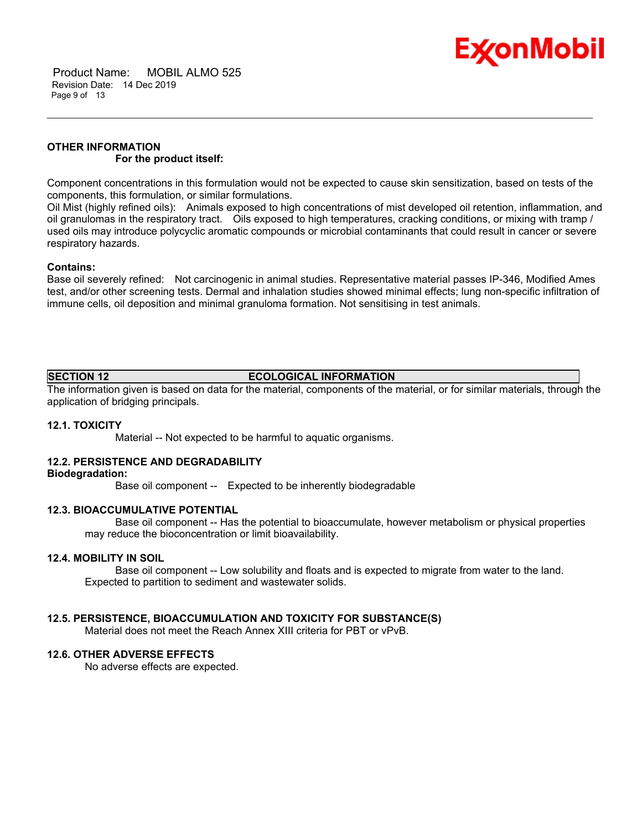

 Product Name: MOBIL ALMO 525 Revision Date: 14 Dec 2019 Page 9 of 13

### **OTHER INFORMATION For the product itself:**

Component concentrations in this formulation would not be expected to cause skin sensitization, based on tests of the components, this formulation, or similar formulations.

\_\_\_\_\_\_\_\_\_\_\_\_\_\_\_\_\_\_\_\_\_\_\_\_\_\_\_\_\_\_\_\_\_\_\_\_\_\_\_\_\_\_\_\_\_\_\_\_\_\_\_\_\_\_\_\_\_\_\_\_\_\_\_\_\_\_\_\_\_\_\_\_\_\_\_\_\_\_\_\_\_\_\_\_\_\_\_\_\_\_\_\_\_\_\_\_\_\_\_\_\_\_\_\_\_\_\_\_\_\_\_\_\_\_\_\_\_

Oil Mist (highly refined oils): Animals exposed to high concentrations of mist developed oil retention, inflammation, and oil granulomas in the respiratory tract. Oils exposed to high temperatures, cracking conditions, or mixing with tramp / used oils may introduce polycyclic aromatic compounds or microbial contaminants that could result in cancer or severe respiratory hazards.

#### **Contains:**

Base oil severely refined: Not carcinogenic in animal studies. Representative material passes IP-346, Modified Ames test, and/or other screening tests. Dermal and inhalation studies showed minimal effects; lung non-specific infiltration of immune cells, oil deposition and minimal granuloma formation. Not sensitising in test animals.

### **SECTION 12 ECOLOGICAL INFORMATION**

The information given is based on data for the material, components of the material, or for similar materials, through the application of bridging principals.

#### **12.1. TOXICITY**

Material -- Not expected to be harmful to aquatic organisms.

#### **12.2. PERSISTENCE AND DEGRADABILITY**

#### **Biodegradation:**

Base oil component -- Expected to be inherently biodegradable

#### **12.3. BIOACCUMULATIVE POTENTIAL**

 Base oil component -- Has the potential to bioaccumulate, however metabolism or physical properties may reduce the bioconcentration or limit bioavailability.

#### **12.4. MOBILITY IN SOIL**

 Base oil component -- Low solubility and floats and is expected to migrate from water to the land. Expected to partition to sediment and wastewater solids.

#### **12.5. PERSISTENCE, BIOACCUMULATION AND TOXICITY FOR SUBSTANCE(S)**

Material does not meet the Reach Annex XIII criteria for PBT or vPvB.

#### **12.6. OTHER ADVERSE EFFECTS**

No adverse effects are expected.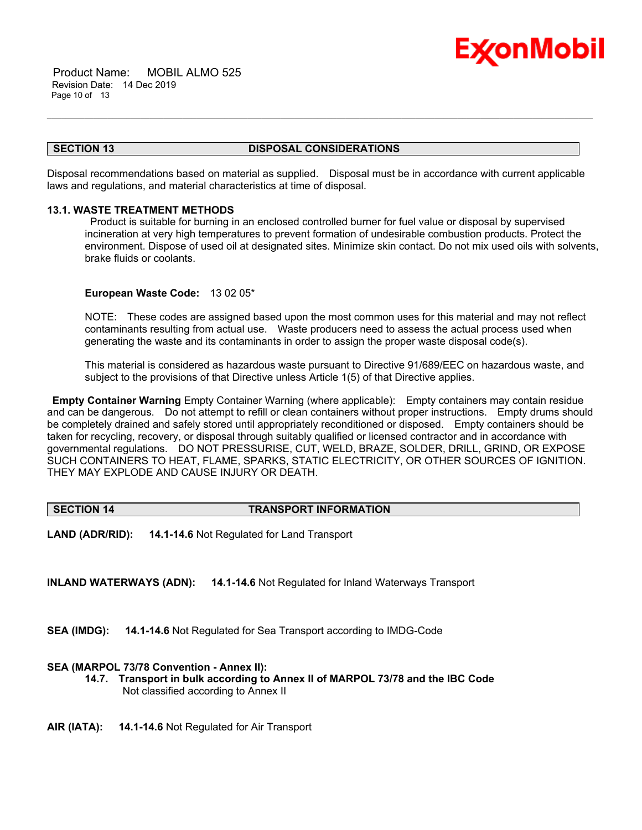

 Product Name: MOBIL ALMO 525 Revision Date: 14 Dec 2019 Page 10 of 13

#### **SECTION 13 DISPOSAL CONSIDERATIONS**

\_\_\_\_\_\_\_\_\_\_\_\_\_\_\_\_\_\_\_\_\_\_\_\_\_\_\_\_\_\_\_\_\_\_\_\_\_\_\_\_\_\_\_\_\_\_\_\_\_\_\_\_\_\_\_\_\_\_\_\_\_\_\_\_\_\_\_\_\_\_\_\_\_\_\_\_\_\_\_\_\_\_\_\_\_\_\_\_\_\_\_\_\_\_\_\_\_\_\_\_\_\_\_\_\_\_\_\_\_\_\_\_\_\_\_\_\_

Disposal recommendations based on material as supplied. Disposal must be in accordance with current applicable laws and regulations, and material characteristics at time of disposal.

#### **13.1. WASTE TREATMENT METHODS**

 Product is suitable for burning in an enclosed controlled burner for fuel value or disposal by supervised incineration at very high temperatures to prevent formation of undesirable combustion products. Protect the environment. Dispose of used oil at designated sites. Minimize skin contact. Do not mix used oils with solvents, brake fluids or coolants.

#### **European Waste Code:** 13 02 05\*

NOTE: These codes are assigned based upon the most common uses for this material and may not reflect contaminants resulting from actual use. Waste producers need to assess the actual process used when generating the waste and its contaminants in order to assign the proper waste disposal code(s).

This material is considered as hazardous waste pursuant to Directive 91/689/EEC on hazardous waste, and subject to the provisions of that Directive unless Article 1(5) of that Directive applies.

**Empty Container Warning** Empty Container Warning (where applicable): Empty containers may contain residue and can be dangerous. Do not attempt to refill or clean containers without proper instructions. Empty drums should be completely drained and safely stored until appropriately reconditioned or disposed. Empty containers should be taken for recycling, recovery, or disposal through suitably qualified or licensed contractor and in accordance with governmental regulations. DO NOT PRESSURISE, CUT, WELD, BRAZE, SOLDER, DRILL, GRIND, OR EXPOSE SUCH CONTAINERS TO HEAT, FLAME, SPARKS, STATIC ELECTRICITY, OR OTHER SOURCES OF IGNITION. THEY MAY EXPLODE AND CAUSE INJURY OR DEATH.

#### **SECTION 14 TRANSPORT INFORMATION**

**LAND (ADR/RID): 14.1-14.6** Not Regulated for Land Transport

**INLAND WATERWAYS (ADN): 14.1-14.6** Not Regulated for Inland Waterways Transport

**SEA (IMDG): 14.1-14.6** Not Regulated for Sea Transport according to IMDG-Code

#### **SEA (MARPOL 73/78 Convention - Annex II):**

- **14.7. Transport in bulk according to Annex II of MARPOL 73/78 and the IBC Code** Not classified according to Annex II
- **AIR (IATA): 14.1-14.6** Not Regulated for Air Transport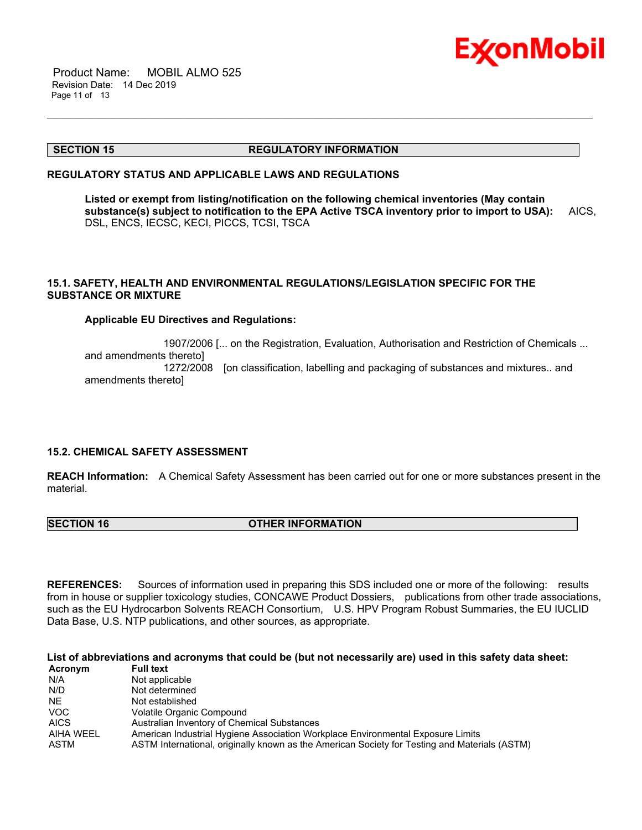

 Product Name: MOBIL ALMO 525 Revision Date: 14 Dec 2019 Page 11 of 13

#### **SECTION 15 REGULATORY INFORMATION**

#### **REGULATORY STATUS AND APPLICABLE LAWS AND REGULATIONS**

**Listed or exempt from listing/notification on the following chemical inventories (May contain substance(s) subject to notification to the EPA Active TSCA inventory prior to import to USA):** AICS, DSL, ENCS, IECSC, KECI, PICCS, TCSI, TSCA

\_\_\_\_\_\_\_\_\_\_\_\_\_\_\_\_\_\_\_\_\_\_\_\_\_\_\_\_\_\_\_\_\_\_\_\_\_\_\_\_\_\_\_\_\_\_\_\_\_\_\_\_\_\_\_\_\_\_\_\_\_\_\_\_\_\_\_\_\_\_\_\_\_\_\_\_\_\_\_\_\_\_\_\_\_\_\_\_\_\_\_\_\_\_\_\_\_\_\_\_\_\_\_\_\_\_\_\_\_\_\_\_\_\_\_\_\_

#### **15.1. SAFETY, HEALTH AND ENVIRONMENTAL REGULATIONS/LEGISLATION SPECIFIC FOR THE SUBSTANCE OR MIXTURE**

#### **Applicable EU Directives and Regulations:**

 1907/2006 [... on the Registration, Evaluation, Authorisation and Restriction of Chemicals ... and amendments thereto] 1272/2008 [on classification, labelling and packaging of substances and mixtures.. and amendments thereto]

#### **15.2. CHEMICAL SAFETY ASSESSMENT**

**REACH Information:** A Chemical Safety Assessment has been carried out for one or more substances present in the material.

**SECTION 16 OTHER INFORMATION** 

**REFERENCES:** Sources of information used in preparing this SDS included one or more of the following: results from in house or supplier toxicology studies, CONCAWE Product Dossiers, publications from other trade associations, such as the EU Hydrocarbon Solvents REACH Consortium, U.S. HPV Program Robust Summaries, the EU IUCLID Data Base, U.S. NTP publications, and other sources, as appropriate.

**List of abbreviations and acronyms that could be (but not necessarily are) used in this safety data sheet:**

| Acronym     | <b>Full text</b>                                                                              |
|-------------|-----------------------------------------------------------------------------------------------|
| N/A         | Not applicable                                                                                |
| N/D         | Not determined                                                                                |
| NE.         | Not established                                                                               |
| VOC.        | Volatile Organic Compound                                                                     |
| <b>AICS</b> | Australian Inventory of Chemical Substances                                                   |
| AIHA WEEL   | American Industrial Hygiene Association Workplace Environmental Exposure Limits               |
| ASTM        | ASTM International, originally known as the American Society for Testing and Materials (ASTM) |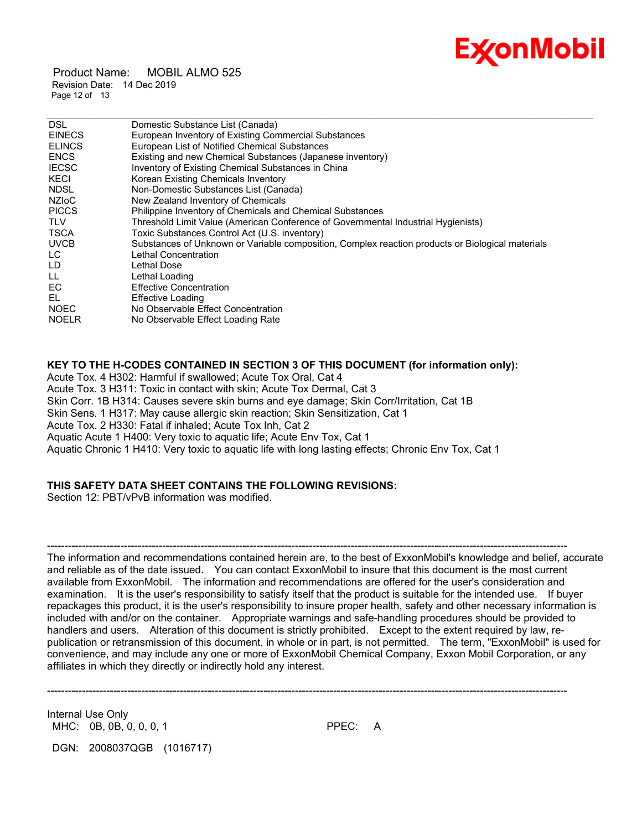

 Product Name: MOBIL ALMO 525 Revision Date: 14 Dec 2019 Page 12 of 13

| Domestic Substance List (Canada)                                                                 |
|--------------------------------------------------------------------------------------------------|
| European Inventory of Existing Commercial Substances                                             |
| European List of Notified Chemical Substances                                                    |
| Existing and new Chemical Substances (Japanese inventory)                                        |
| Inventory of Existing Chemical Substances in China                                               |
| Korean Existing Chemicals Inventory                                                              |
| Non-Domestic Substances List (Canada)                                                            |
| New Zealand Inventory of Chemicals                                                               |
| Philippine Inventory of Chemicals and Chemical Substances                                        |
| Threshold Limit Value (American Conference of Governmental Industrial Hygienists)                |
| Toxic Substances Control Act (U.S. inventory)                                                    |
| Substances of Unknown or Variable composition, Complex reaction products or Biological materials |
| Lethal Concentration                                                                             |
| Lethal Dose                                                                                      |
| Lethal Loading                                                                                   |
| <b>Effective Concentration</b>                                                                   |
| Effective Loading                                                                                |
| No Observable Effect Concentration                                                               |
| No Observable Effect Loading Rate                                                                |
|                                                                                                  |

\_\_\_\_\_\_\_\_\_\_\_\_\_\_\_\_\_\_\_\_\_\_\_\_\_\_\_\_\_\_\_\_\_\_\_\_\_\_\_\_\_\_\_\_\_\_\_\_\_\_\_\_\_\_\_\_\_\_\_\_\_\_\_\_\_\_\_\_\_\_\_\_\_\_\_\_\_\_\_\_\_\_\_\_\_\_\_\_\_\_\_\_\_\_\_\_\_\_\_\_\_\_\_\_\_\_\_\_\_\_\_\_\_\_\_\_\_

#### **KEY TO THE H-CODES CONTAINED IN SECTION 3 OF THIS DOCUMENT (for information only):**

Acute Tox. 4 H302: Harmful if swallowed; Acute Tox Oral, Cat 4 Acute Tox. 3 H311: Toxic in contact with skin; Acute Tox Dermal, Cat 3 Skin Corr. 1B H314: Causes severe skin burns and eye damage; Skin Corr/Irritation, Cat 1B Skin Sens. 1 H317: May cause allergic skin reaction; Skin Sensitization, Cat 1 Acute Tox. 2 H330: Fatal if inhaled; Acute Tox Inh, Cat 2 Aquatic Acute 1 H400: Very toxic to aquatic life; Acute Env Tox, Cat 1 Aquatic Chronic 1 H410: Very toxic to aquatic life with long lasting effects; Chronic Env Tox, Cat 1

### **THIS SAFETY DATA SHEET CONTAINS THE FOLLOWING REVISIONS:**

Section 12: PBT/vPvB information was modified.

The information and recommendations contained herein are, to the best of ExxonMobil's knowledge and belief, accurate and reliable as of the date issued. You can contact ExxonMobil to insure that this document is the most current available from ExxonMobil. The information and recommendations are offered for the user's consideration and examination. It is the user's responsibility to satisfy itself that the product is suitable for the intended use. If buyer repackages this product, it is the user's responsibility to insure proper health, safety and other necessary information is included with and/or on the container. Appropriate warnings and safe-handling procedures should be provided to handlers and users. Alteration of this document is strictly prohibited. Except to the extent required by law, republication or retransmission of this document, in whole or in part, is not permitted. The term, "ExxonMobil" is used for convenience, and may include any one or more of ExxonMobil Chemical Company, Exxon Mobil Corporation, or any affiliates in which they directly or indirectly hold any interest.

-----------------------------------------------------------------------------------------------------------------------------------------------------

-----------------------------------------------------------------------------------------------------------------------------------------------------

Internal Use Only MHC: 0B, 0B, 0, 0, 0, 1 PPEC: A

DGN: 2008037QGB (1016717)